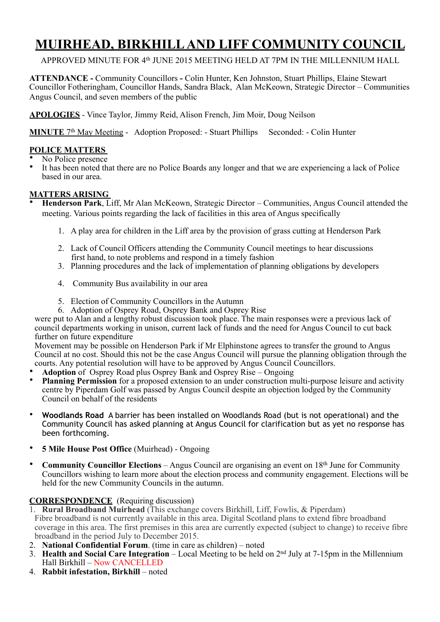# **MUIRHEAD, BIRKHILL AND LIFF COMMUNITY COUNCIL**

# APPROVED MINUTE FOR 4<sup>th</sup> JUNE 2015 MEETING HELD AT 7PM IN THE MILLENNIUM HALL

**ATTENDANCE -** Community Councillors **-** Colin Hunter, Ken Johnston, Stuart Phillips, Elaine Stewart Councillor Fotheringham, Councillor Hands, Sandra Black, Alan McKeown, Strategic Director – Communities Angus Council, and seven members of the public

**APOLOGIES** - Vince Taylor, Jimmy Reid, Alison French, Jim Moir, Doug Neilson

**MINUTE** 7<sup>th</sup> May Meeting - Adoption Proposed: - Stuart Phillips Seconded: - Colin Hunter

# **POLICE MATTERS**

No Police presence

It has been noted that there are no Police Boards any longer and that we are experiencing a lack of Police based in our area.

# **MATTERS ARISING**

• **Henderson Park**, Liff, Mr Alan McKeown, Strategic Director – Communities, Angus Council attended the meeting. Various points regarding the lack of facilities in this area of Angus specifically

- 1. A play area for children in the Liff area by the provision of grass cutting at Henderson Park
- 2. Lack of Council Officers attending the Community Council meetings to hear discussions first hand, to note problems and respond in a timely fashion
- 3. Planning procedures and the lack of implementation of planning obligations by developers
- 4. Community Bus availability in our area
- 5. Election of Community Councillors in the Autumn
- 6. Adoption of Osprey Road, Osprey Bank and Osprey Rise

were put to Alan and a lengthy robust discussion took place. The main responses were a previous lack of council departments working in unison, current lack of funds and the need for Angus Council to cut back further on future expenditure

Movement may be possible on Henderson Park if Mr Elphinstone agrees to transfer the ground to Angus Council at no cost. Should this not be the case Angus Council will pursue the planning obligation through the courts. Any potential resolution will have to be approved by Angus Council Councillors.

- **Adoption** of Osprey Road plus Osprey Bank and Osprey Rise Ongoing
- **Planning Permission** for a proposed extension to an under construction multi-purpose leisure and activity centre by Piperdam Golf was passed by Angus Council despite an objection lodged by the Community Council on behalf of the residents
- **Woodlands Road** A barrier has been installed on Woodlands Road (but is not operational) and the Community Council has asked planning at Angus Council for clarification but as yet no response has been forthcoming.
- **5 Mile House Post Office** (Muirhead) Ongoing
- **Community Councillor Elections** Angus Council are organising an event on 18th June for Community Councillors wishing to learn more about the election process and community engagement. Elections will be held for the new Community Councils in the autumn.

# **CORRESPONDENCE** (Requiring discussion)

- 1. **Rural Broadband Muirhead** (This exchange covers Birkhill, Liff, Fowlis, & Piperdam) Fibre broadband is not currently available in this area. Digital Scotland plans to extend fibre broadband coverage in this area. The first premises in this area are currently expected (subject to change) to receive fibre broadband in the period July to December 2015.
- 2. **National Confidential Forum**. (time in care as children) noted
- 3. **Health and Social Care Integration** Local Meeting to be held on 2nd July at 7-15pm in the Millennium Hall Birkhill – Now CANCELLED
- 4. **Rabbit infestation, Birkhill** noted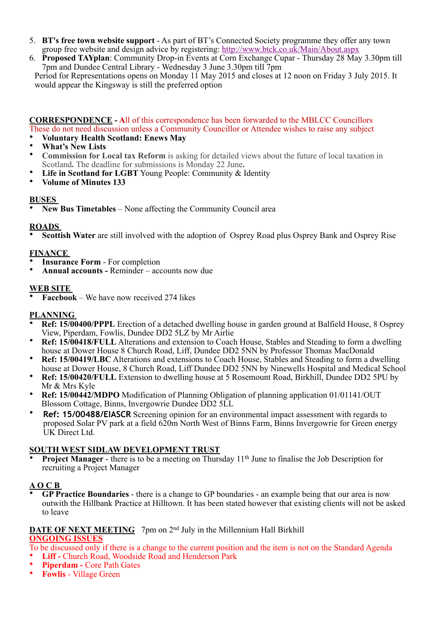- 5. **BT's free town website support** As part of BT's Connected Society programme they offer any town group free website and design advice by registering:<http://www.btck.co.uk/Main/About.aspx>
- 6. **Proposed TAYplan**: Community Drop-in Events at Corn Exchange Cupar Thursday 28 May 3.30pm till 7pm and Dundee Central Library - Wednesday 3 June 3.30pm till 7pm

Period for Representations opens on Monday 11 May 2015 and closes at 12 noon on Friday 3 July 2015. It would appear the Kingsway is still the preferred option

# **CORRESPONDENCE - A**ll of this correspondence has been forwarded to the MBLCC Councillors These do not need discussion unless a Community Councillor or Attendee wishes to raise any subject

- **Voluntary Health Scotland: Enews May**
- **What's New Lists**
- **Commission for Local tax Reform** is asking for detailed views about the future of local taxation in Scotland**.** The deadline for submissions is Monday 22 June**.**
- Life in Scotland for LGBT Young People: Community & Identity
- **Volume of Minutes 133**

#### **BUSES**

• **New Bus Timetables** – None affecting the Community Council area

### **ROADS**

• **Scottish Water** are still involved with the adoption of Osprey Road plus Osprey Bank and Osprey Rise

### **FINANCE**

- **Insurance Form** For completion
- **Annual accounts** Reminder accounts now due

### **WEB SITE**

• **Facebook** – We have now received 274 likes

#### **PLANNING**

- **Ref: 15/00400/PPPL** Erection of a detached dwelling house in garden ground at Balfield House, 8 Osprey View, Piperdam, Fowlis, Dundee DD2 5LZ by Mr Airlie
- **Ref: 15/00418/FULL** Alterations and extension to Coach House, Stables and Steading to form a dwelling house at Dower House 8 Church Road, Liff, Dundee DD2 5NN by Professor Thomas MacDonald
- **Ref: 15/00419/LBC** Alterations and extensions to Coach House, Stables and Steading to form a dwelling house at Dower House, 8 Church Road, Liff Dundee DD2 5NN by Ninewells Hospital and Medical School
- **Ref: 15/00420/FULL** Extension to dwelling house at 5 Rosemount Road, Birkhill, Dundee DD2 5PU by Mr & Mrs Kyle
- **Ref: 15/00442/MDPO** Modification of Planning Obligation of planning application 01/01141/OUT Blossom Cottage, Binns, Invergowrie Dundee DD2 5LL
- **Ref: 15/00488/EIASCR** Screening opinion for an environmental impact assessment with regards to proposed Solar PV park at a field 620m North West of Binns Farm, Binns Invergowrie for Green energy UK Direct Ltd.

#### **SOUTH WEST SIDLAW DEVELOPMENT TRUST**

**Project Manager** - there is to be a meeting on Thursday 11<sup>th</sup> June to finalise the Job Description for recruiting a Project Manager

# **A O C B**

• **GP Practice Boundaries** - there is a change to GP boundaries - an example being that our area is now outwith the Hillbank Practice at Hilltown. It has been stated however that existing clients will not be asked to leave

#### **DATE OF NEXT MEETING** 7pm on 2<sup>nd</sup> July in the Millennium Hall Birkhill **ONGOING ISSUES**

To be discussed only if there is a change to the current position and the item is not on the Standard Agenda

- **Liff** Church Road, Woodside Road and Henderson Park
- **Piperdam** Core Path Gates
- **Fowlis** Village Green